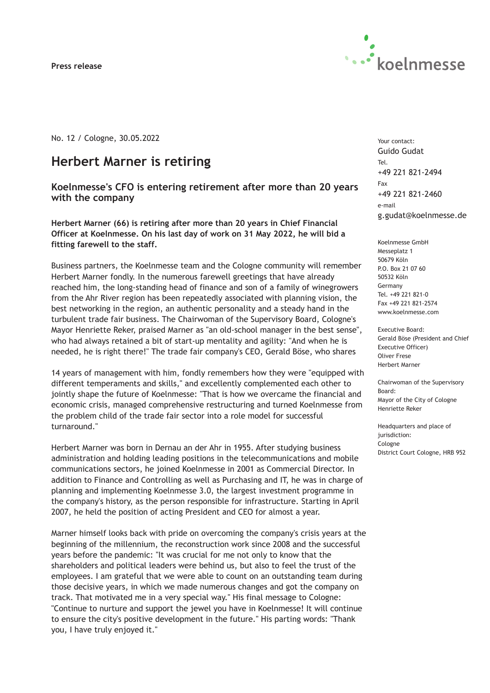**Press release**



No. 12 / Cologne, 30.05.2022

## **Herbert Marner is retiring**

**Koelnmesse's CFO is entering retirement after more than 20 years with the company**

**Herbert Marner (66) is retiring after more than 20 years in Chief Financial Officer at Koelnmesse. On his last day of work on 31 May 2022, he will bid a fitting farewell to the staff.**

Business partners, the Koelnmesse team and the Cologne community will remember Herbert Marner fondly. In the numerous farewell greetings that have already reached him, the long-standing head of finance and son of a family of winegrowers from the Ahr River region has been repeatedly associated with planning vision, the best networking in the region, an authentic personality and a steady hand in the turbulent trade fair business. The Chairwoman of the Supervisory Board, Cologne's Mayor Henriette Reker, praised Marner as "an old-school manager in the best sense", who had always retained a bit of start-up mentality and agility: "And when he is needed, he is right there!" The trade fair company's CEO, Gerald Böse, who shares

14 years of management with him, fondly remembers how they were "equipped with different temperaments and skills," and excellently complemented each other to jointly shape the future of Koelnmesse: "That is how we overcame the financial and economic crisis, managed comprehensive restructuring and turned Koelnmesse from the problem child of the trade fair sector into a role model for successful turnaround."

Herbert Marner was born in Dernau an der Ahr in 1955. After studying business administration and holding leading positions in the telecommunications and mobile communications sectors, he joined Koelnmesse in 2001 as Commercial Director. In addition to Finance and Controlling as well as Purchasing and IT, he was in charge of planning and implementing Koelnmesse 3.0, the largest investment programme in the company's history, as the person responsible for infrastructure. Starting in April 2007, he held the position of acting President and CEO for almost a year.

Marner himself looks back with pride on overcoming the company's crisis years at the beginning of the millennium, the reconstruction work since 2008 and the successful years before the pandemic: "It was crucial for me not only to know that the shareholders and political leaders were behind us, but also to feel the trust of the employees. I am grateful that we were able to count on an outstanding team during those decisive years, in which we made numerous changes and got the company on track. That motivated me in a very special way." His final message to Cologne: "Continue to nurture and support the jewel you have in Koelnmesse! It will continue to ensure the city's positive development in the future." His parting words: "Thank you, I have truly enjoyed it."

Your contact: Guido Gudat Tel. +49 221 821-2494 Fax +49 221 821-2460 e-mail g.gudat@koelnmesse.de

Koelnmesse GmbH Messeplatz 1 50679 Köln P.O. Box 21 07 60 50532 Köln Germany Tel. +49 221 821-0 Fax +49 221 821-2574 www.koelnmesse.com

Executive Board: Gerald Böse (President and Chief Executive Officer) Oliver Frese Herbert Marner

Chairwoman of the Supervisory Board: Mayor of the City of Cologne Henriette Reker

Headquarters and place of jurisdiction: Cologne District Court Cologne, HRB 952